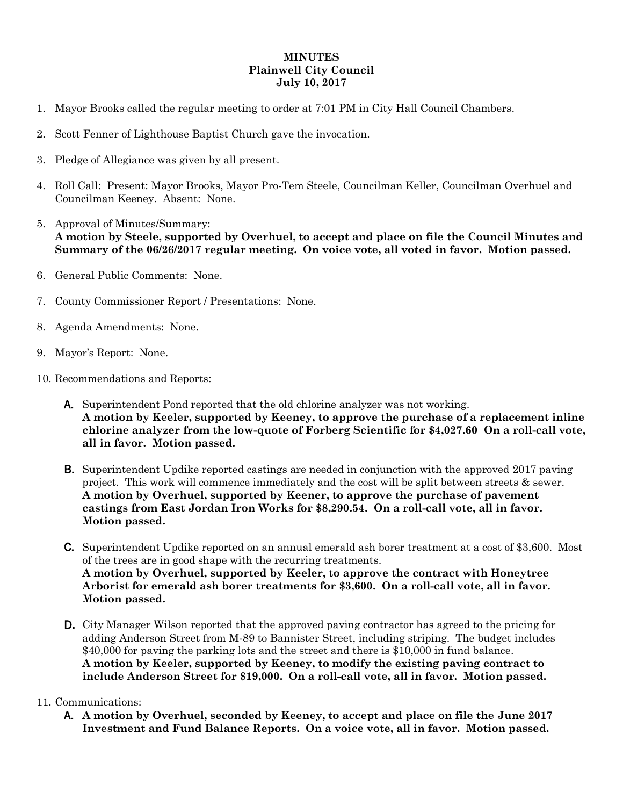## **MINUTES Plainwell City Council July 10, 2017**

- 1. Mayor Brooks called the regular meeting to order at 7:01 PM in City Hall Council Chambers.
- 2. Scott Fenner of Lighthouse Baptist Church gave the invocation.
- 3. Pledge of Allegiance was given by all present.
- 4. Roll Call: Present: Mayor Brooks, Mayor Pro-Tem Steele, Councilman Keller, Councilman Overhuel and Councilman Keeney. Absent: None.
- 5. Approval of Minutes/Summary: **A motion by Steele, supported by Overhuel, to accept and place on file the Council Minutes and Summary of the 06/26/2017 regular meeting. On voice vote, all voted in favor. Motion passed.**
- 6. General Public Comments: None.
- 7. County Commissioner Report / Presentations: None.
- 8. Agenda Amendments: None.
- 9. Mayor's Report: None.
- 10. Recommendations and Reports:
	- A. Superintendent Pond reported that the old chlorine analyzer was not working. **A motion by Keeler, supported by Keeney, to approve the purchase of a replacement inline chlorine analyzer from the low-quote of Forberg Scientific for \$4,027.60 On a roll-call vote, all in favor. Motion passed.**
	- **B.** Superintendent Updike reported castings are needed in conjunction with the approved 2017 paving project. This work will commence immediately and the cost will be split between streets & sewer. **A motion by Overhuel, supported by Keener, to approve the purchase of pavement castings from East Jordan Iron Works for \$8,290.54. On a roll-call vote, all in favor. Motion passed.**
	- C. Superintendent Updike reported on an annual emerald ash borer treatment at a cost of \$3,600. Most of the trees are in good shape with the recurring treatments. **A motion by Overhuel, supported by Keeler, to approve the contract with Honeytree Arborist for emerald ash borer treatments for \$3,600. On a roll-call vote, all in favor. Motion passed.**
	- D. City Manager Wilson reported that the approved paving contractor has agreed to the pricing for adding Anderson Street from M-89 to Bannister Street, including striping. The budget includes \$40,000 for paving the parking lots and the street and there is \$10,000 in fund balance. **A motion by Keeler, supported by Keeney, to modify the existing paving contract to include Anderson Street for \$19,000. On a roll-call vote, all in favor. Motion passed.**

## 11. Communications:

A. **A motion by Overhuel, seconded by Keeney, to accept and place on file the June 2017 Investment and Fund Balance Reports. On a voice vote, all in favor. Motion passed.**